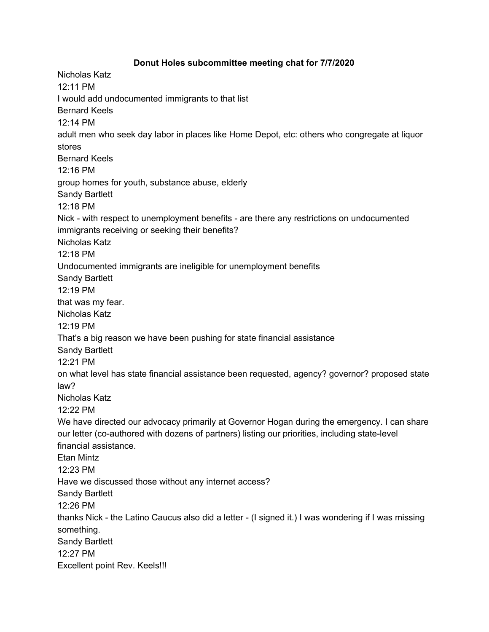## **Donut Holes subcommittee meeting chat for 7/7/2020**

Nicholas Katz 12:11 PM I would add undocumented immigrants to that list Bernard Keels 12:14 PM adult men who seek day labor in places like Home Depot, etc: others who congregate at liquor stores Bernard Keels 12:16 PM group homes for youth, substance abuse, elderly Sandy Bartlett 12:18 PM Nick - with respect to unemployment benefits - are there any restrictions on undocumented immigrants receiving or seeking their benefits? Nicholas Katz 12:18 PM Undocumented immigrants are ineligible for unemployment benefits Sandy Bartlett 12:19 PM that was my fear. Nicholas Katz 12:19 PM That's a big reason we have been pushing for state financial assistance Sandy Bartlett 12:21 PM on what level has state financial assistance been requested, agency? governor? proposed state law? Nicholas Katz 12:22 PM We have directed our advocacy primarily at Governor Hogan during the emergency. I can share our letter (co-authored with dozens of partners) listing our priorities, including state-level financial assistance. Etan Mintz 12:23 PM Have we discussed those without any internet access? Sandy Bartlett 12:26 PM thanks Nick - the Latino Caucus also did a letter - (I signed it.) I was wondering if I was missing something. Sandy Bartlett 12:27 PM Excellent point Rev. Keels!!!